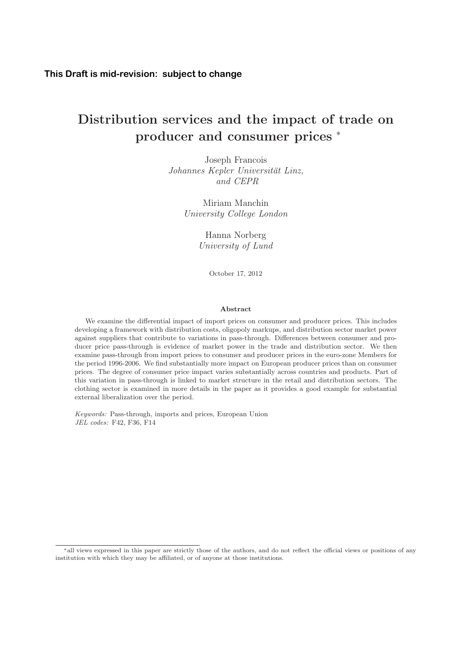# **Distribution services and the impact of trade on producer and consumer prices** <sup>∗</sup>

Johannes Kepler Universität Linz, and CEPR

University College London

University of Lund

October 17, 2012

#### **Abstract**

We examine the differential impact of import prices on consumer and producer prices. This includes developing a framework with distribution costs, oligopoly markups, and distribution sector market power against suppliers that contribute to variations in pass-through. Differences between consumer and producer price pass-through is evidence of market power in the trade and distribution sector. We then examine pass-through from import prices to consumer and producer prices in the euro-zone Members for the period 1996-2006. We find substantially more impact on European producer prices than on consumer prices. The degree of consumer price impact varies substantially across countries and products. Part of this variation in pass-through is linked to market structure in the retail and distribution sectors. The clothing sector is examined in more details in the paper as it provides a good example for substantial external liberalization over the period.

Keywords: Pass-through, imports and prices, European Union JEL codes: F42, F36, F14

<sup>∗</sup>all views expressed in this paper are strictly those of the authors, and do not reflect the official views or positions of any institution with which they may be affiliated, or of anyone at those institutions.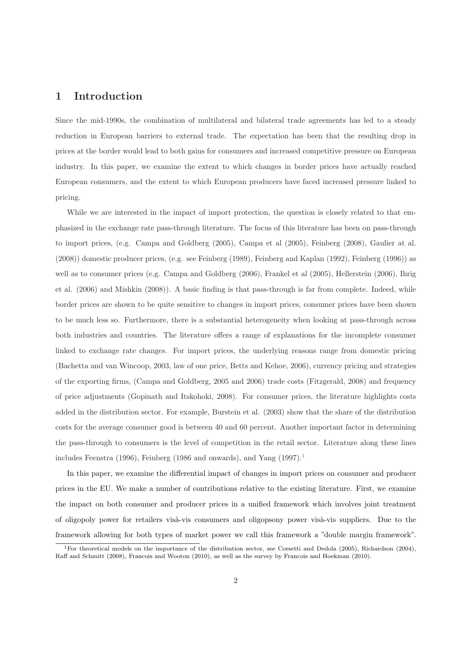# **1 Introduction**

Since the mid-1990s, the combination of multilateral and bilateral trade agreements has led to a steady reduction in European barriers to external trade. The expectation has been that the resulting drop in prices at the border would lead to both gains for consumers and increased competitive pressure on European industry. In this paper, we examine the extent to which changes in border prices have actually reached European consumers, and the extent to which European producers have faced increased pressure linked to pricing.

While we are interested in the impact of import protection, the question is closely related to that emphasized in the exchange rate pass-through literature. The focus of this literature has been on pass-through to import prices, (e.g. Campa and Goldberg (2005), Campa et al (2005), Feinberg (2008), Gaulier at al. (2008)) domestic producer prices, (e.g. see Feinberg (1989), Feinberg and Kaplan (1992), Feinberg (1996)) as well as to consumer prices (e.g. Campa and Goldberg (2006), Frankel et al (2005), Hellerstein (2006), Ihrig et al. (2006) and Mishkin (2008)). A basic finding is that pass-through is far from complete. Indeed, while border prices are shown to be quite sensitive to changes in import prices, consumer prices have been shown to be much less so. Furthermore, there is a substantial heterogeneity when looking at pass-through across both industries and countries. The literature offers a range of explanations for the incomplete consumer linked to exchange rate changes. For import prices, the underlying reasons range from domestic pricing (Bachetta and van Wincoop, 2003, law of one price, Betts and Kehoe, 2006), currency pricing and strategies of the exporting firms, (Campa and Goldberg, 2005 and 2006) trade costs (Fitzgerald, 2008) and frequency of price adjustments (Gopinath and Itskohoki, 2008). For consumer prices, the literature highlights costs added in the distribution sector. For example, Burstein et al. (2003) show that the share of the distribution costs for the average consumer good is between 40 and 60 percent. Another important factor in determining the pass-through to consumers is the level of competition in the retail sector. Literature along these lines includes Feenstra (1996), Feinberg (1986 and onwards), and Yang  $(1997)$ .

In this paper, we examine the differential impact of changes in import prices on consumer and producer prices in the EU. We make a number of contributions relative to the existing literature. First, we examine the impact on both consumer and producer prices in a unified framework which involves joint treatment of oligopoly power for retailers visà-vis consumers and oligopsony power visà-vis suppliers. Due to the framework allowing for both types of market power we call this framework a "double margin framework".

<sup>1</sup>For theoretical models on the importance of the distribution sector, see Corsetti and Dedola (2005), Richardson (2004), Raff and Schmitt (2008), Francois and Wooton (2010), as well as the survey by Francois and Hoekman (2010).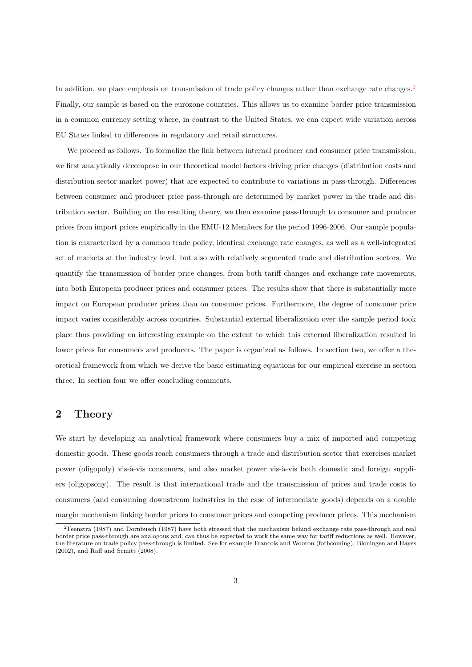In addition, we place emphasis on transmission of trade policy changes rather than exchange rate changes.<sup>2</sup> Finally, our sample is based on the eurozone countries. This allows us to examine border price transmission in a common currency setting where, in contrast to the United States, we can expect wide variation across EU States linked to differences in regulatory and retail structures.

We proceed as follows. To formalize the link between internal producer and consumer price transmission, we first analytically decompose in our theoretical model factors driving price changes (distribution costs and distribution sector market power) that are expected to contribute to variations in pass-through. Differences between consumer and producer price pass-through are determined by market power in the trade and distribution sector. Building on the resulting theory, we then examine pass-through to consumer and producer prices from import prices empirically in the EMU-12 Members for the period 1996-2006. Our sample population is characterized by a common trade policy, identical exchange rate changes, as well as a well-integrated set of markets at the industry level, but also with relatively segmented trade and distribution sectors. We quantify the transmission of border price changes, from both tariff changes and exchange rate movements, into both European producer prices and consumer prices. The results show that there is substantially more impact on European producer prices than on consumer prices. Furthermore, the degree of consumer price impact varies considerably across countries. Substantial external liberalization over the sample period took place thus providing an interesting example on the extent to which this external liberalization resulted in lower prices for consumers and producers. The paper is organized as follows. In section two, we offer a theoretical framework from which we derive the basic estimating equations for our empirical exercise in section three. In section four we offer concluding comments.

## **2 Theory**

We start by developing an analytical framework where consumers buy a mix of imported and competing domestic goods. These goods reach consumers through a trade and distribution sector that exercises market power (oligopoly) vis-à-vis consumers, and also market power vis-à-vis both domestic and foreign suppliers (oligopsony). The result is that international trade and the transmission of prices and trade costs to consumers (and consuming downstream industries in the case of intermediate goods) depends on a double margin mechanism linking border prices to consumer prices and competing producer prices. This mechanism

<sup>2</sup>Feenstra (1987) and Dornbusch (1987) have both stressed that the mechanism behind exchange rate pass-through and real border price pass-through are analogous and, can thus be expected to work the same way for tariff reductions as well. However, the literature on trade policy pass-through is limited. See for example Francois and Wooton (fothcoming), Bloningen and Hayes (2002), and Raff and Scmitt (2008).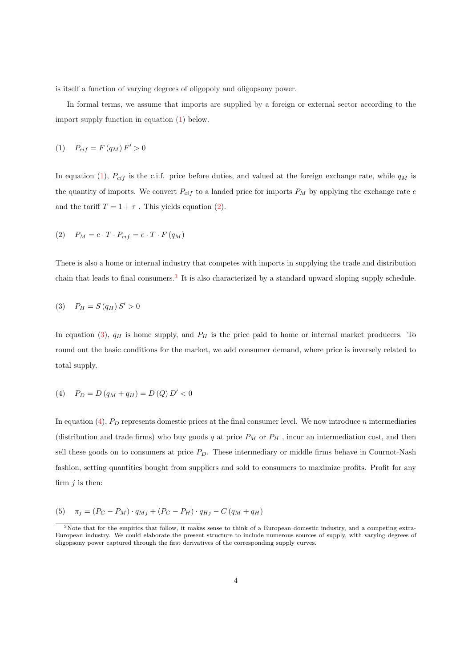is itself a function of varying degrees of oligopoly and oligopsony power.

In formal terms, we assume that imports are supplied by a foreign or external sector according to the import supply function in equation (1) below.

$$
(1) \quad P_{cif} = F(q_M) F' > 0
$$

In equation (1),  $P_{cif}$  is the c.i.f. price before duties, and valued at the foreign exchange rate, while  $q_M$  is the quantity of imports. We convert  $P_{cif}$  to a landed price for imports  $P_M$  by applying the exchange rate  $e$ and the tariff  $T = 1 + \tau$ . This yields equation (2).

$$
(2) \quad P_M = e \cdot T \cdot P_{cif} = e \cdot T \cdot F (q_M)
$$

There is also a home or internal industry that competes with imports in supplying the trade and distribution chain that leads to final consumers.<sup>3</sup> It is also characterized by a standard upward sloping supply schedule.

$$
(3) \quad P_H = S(q_H) S' > 0
$$

In equation (3),  $q_H$  is home supply, and  $P_H$  is the price paid to home or internal market producers. To round out the basic conditions for the market, we add consumer demand, where price is inversely related to total supply.

(4) 
$$
P_D = D(q_M + q_H) = D(Q) D' < 0
$$

In equation  $(4)$ ,  $P_D$  represents domestic prices at the final consumer level. We now introduce n intermediaries (distribution and trade firms) who buy goods  $q$  at price  $P_M$  or  $P_H$  , incur an intermediation cost, and then sell these goods on to consumers at price  $P<sub>D</sub>$ . These intermediary or middle firms behave in Cournot-Nash fashion, setting quantities bought from suppliers and sold to consumers to maximize profits. Profit for any firm  $i$  is then:

(5) 
$$
\pi_j = (P_C - P_M) \cdot q_{Mj} + (P_C - P_H) \cdot q_{Hj} - C (q_M + q_H)
$$

<sup>&</sup>lt;sup>3</sup>Note that for the empirics that follow, it makes sense to think of a European domestic industry, and a competing extra-European industry. We could elaborate the present structure to include numerous sources of supply, with varying degrees of oligopsony power captured through the first derivatives of the corresponding supply curves.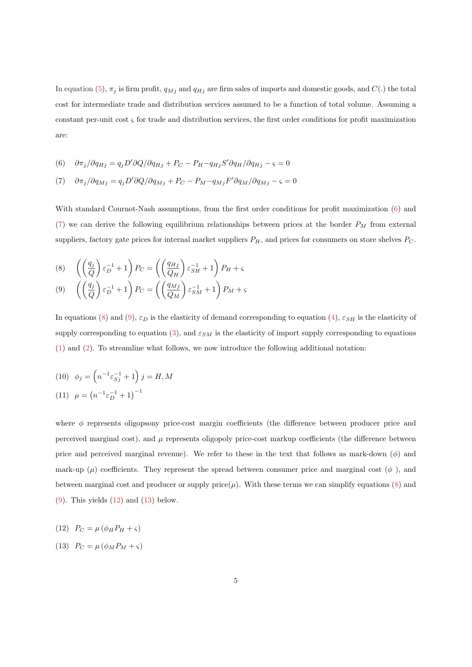In equation (5),  $\pi_j$  is firm profit,  $q_{Mj}$  and  $q_{Hj}$  are firm sales of imports and domestic goods, and  $C(.)$  the total cost for intermediate trade and distribution services assumed to be a function of total volume. Assuming a constant per-unit cost  $\varsigma$  for trade and distribution services, the first order conditions for profit maximization are:

(6) 
$$
\partial \pi_j / \partial q_{Hj} = q_j D' \partial Q / \partial q_{Hj} + P_C - P_H - q_{Hj} S' \partial q_H / \partial q_{Hj} - \varsigma = 0
$$

$$
(7) \quad \partial \pi_j / \partial q_{Mj} = q_j D' \partial Q / \partial q_{Mj} + P_C - P_M - q_{Mj} F' \partial q_M / \partial q_{Mj} - \varsigma = 0
$$

With standard Cournot-Nash assumptions, from the first order conditions for profit maximization (6) and (7) we can derive the following equilibrium relationships between prices at the border  $P_M$  from external suppliers, factory gate prices for internal market suppliers  $P_H$ , and prices for consumers on store shelves  $P_C$ .

(8) 
$$
\begin{pmatrix} \left(\frac{q_j}{Q}\right)\varepsilon_D^{-1} + 1 \end{pmatrix} P_C = \left(\left(\frac{q_{Hj}}{Q_H}\right)\varepsilon_{SH}^{-1} + 1\right) P_H + \varsigma
$$
  
(9) 
$$
\left(\left(\frac{q_j}{Q}\right)\varepsilon_D^{-1} + 1\right) P_C = \left(\left(\frac{q_{Mj}}{Q_M}\right)\varepsilon_{SM}^{-1} + 1\right) P_M + \varsigma
$$

In equations (8) and (9),  $\varepsilon_D$  is the elasticity of demand corresponding to equation (4),  $\varepsilon_{SH}$  is the elasticity of supply corresponding to equation (3), and  $\varepsilon_{SM}$  is the elasticity of import supply corresponding to equations (1) and (2). To streamline what follows, we now introduce the following additional notation:

(10) 
$$
\phi_j = \left(n^{-1} \varepsilon_{Sj}^{-1} + 1\right) j = H, M
$$
  
(11)  $\mu = \left(n^{-1} \varepsilon_D^{-1} + 1\right)^{-1}$ 

where  $\phi$  represents oligopsony price-cost margin coefficients (the difference between producer price and perceived marginal cost), and  $\mu$  represents oligopoly price-cost markup coefficients (the difference between price and perceived marginal revenue). We refer to these in the text that follows as mark-down  $(\phi)$  and mark-up ( $\mu$ ) coefficients. They represent the spread between consumer price and marginal cost ( $\phi$ ), and between marginal cost and producer or supply price $(\mu)$ . With these terms we can simplify equations (8) and  $(9)$ . This yields  $(12)$  and  $(13)$  below.

$$
(12) \quad P_C = \mu \left( \phi_H P_H + \varsigma \right)
$$

$$
(13) \quad P_C = \mu \left( \phi_M P_M + \varsigma \right)
$$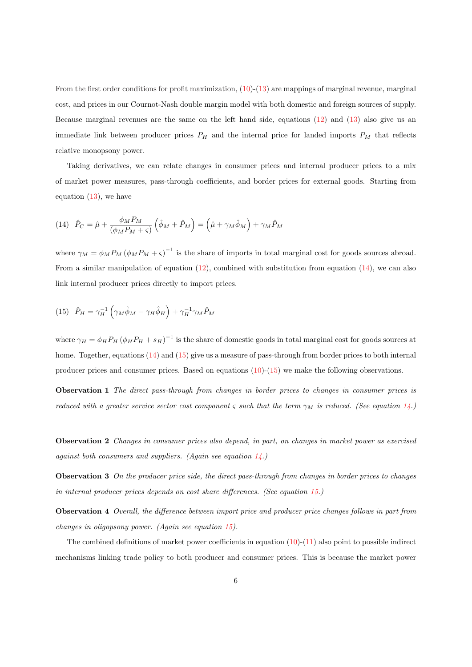From the first order conditions for profit maximization,  $(10)-(13)$  are mappings of marginal revenue, marginal cost, and prices in our Cournot-Nash double margin model with both domestic and foreign sources of supply. Because marginal revenues are the same on the left hand side, equations (12) and (13) also give us an immediate link between producer prices  $P_H$  and the internal price for landed imports  $P_M$  that reflects relative monopsony power.

Taking derivatives, we can relate changes in consumer prices and internal producer prices to a mix of market power measures, pass-through coefficients, and border prices for external goods. Starting from equation  $(13)$ , we have

(14) 
$$
\hat{P}_C = \hat{\mu} + \frac{\phi_M P_M}{(\phi_M P_M + \varsigma)} \left( \hat{\phi}_M + \hat{P}_M \right) = \left( \hat{\mu} + \gamma_M \hat{\phi}_M \right) + \gamma_M \hat{P}_M
$$

where  $\gamma_M = \phi_M P_M (\phi_M P_M + \varsigma)^{-1}$  is the share of imports in total marginal cost for goods sources abroad. From a similar manipulation of equation  $(12)$ , combined with substitution from equation  $(14)$ , we can also link internal producer prices directly to import prices.

(15) 
$$
\hat{P}_H = \gamma_H^{-1} \left( \gamma_M \hat{\phi}_M - \gamma_H \hat{\phi}_H \right) + \gamma_H^{-1} \gamma_M \hat{P}_M
$$

where  $\gamma_H = \phi_H P_H (\phi_H P_H + s_H)^{-1}$  is the share of domestic goods in total marginal cost for goods sources at home. Together, equations (14) and (15) give us a measure of pass-through from border prices to both internal producer prices and consumer prices. Based on equations (10)-(15) we make the following observations.

**Observation 1** The direct pass-through from changes in border prices to changes in consumer prices is reduced with a greater service sector cost component  $\varsigma$  such that the term  $\gamma_M$  is reduced. (See equation 14.)

**Observation 2** Changes in consumer prices also depend, in part, on changes in market power as exercised against both consumers and suppliers. (Again see equation  $14$ .)

**Observation 3** On the producer price side, the direct pass-through from changes in border prices to changes in internal producer prices depends on cost share differences. (See equation 15.)

**Observation 4** Overall, the difference between import price and producer price changes follows in part from changes in oligopsony power. (Again see equation 15).

The combined definitions of market power coefficients in equation  $(10)-(11)$  also point to possible indirect mechanisms linking trade policy to both producer and consumer prices. This is because the market power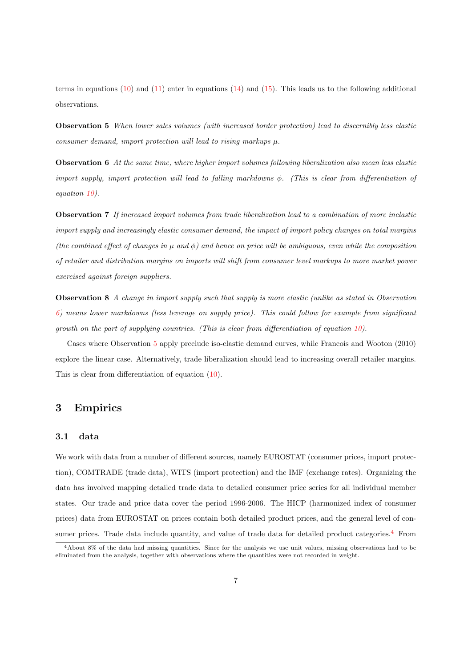terms in equations  $(10)$  and  $(11)$  enter in equations  $(14)$  and  $(15)$ . This leads us to the following additional observations.

**Observation 5** When lower sales volumes (with increased border protection) lead to discernibly less elastic consumer demand, import protection will lead to rising markups  $\mu$ .

**Observation 6** At the same time, where higher import volumes following liberalization also mean less elastic import supply, import protection will lead to falling markdowns  $\phi$ . (This is clear from differentiation of equation 10).

**Observation 7** If increased import volumes from trade liberalization lead to a combination of more inelastic import supply and increasingly elastic consumer demand, the impact of import policy changes on total margins (the combined effect of changes in  $\mu$  and  $\phi$ ) and hence on price will be ambiguous, even while the composition of retailer and distribution margins on imports will shift from consumer level markups to more market power exercised against foreign suppliers.

**Observation 8** A change in import supply such that supply is more elastic (unlike as stated in Observation 6) means lower markdowns (less leverage on supply price). This could follow for example from significant growth on the part of supplying countries. (This is clear from differentiation of equation 10).

Cases where Observation 5 apply preclude iso-elastic demand curves, while Francois and Wooton (2010) explore the linear case. Alternatively, trade liberalization should lead to increasing overall retailer margins. This is clear from differentiation of equation (10).

# **3 Empirics**

#### **3.1 data**

We work with data from a number of different sources, namely EUROSTAT (consumer prices, import protection), COMTRADE (trade data), WITS (import protection) and the IMF (exchange rates). Organizing the data has involved mapping detailed trade data to detailed consumer price series for all individual member states. Our trade and price data cover the period 1996-2006. The HICP (harmonized index of consumer prices) data from EUROSTAT on prices contain both detailed product prices, and the general level of consumer prices. Trade data include quantity, and value of trade data for detailed product categories.<sup>4</sup> From

<sup>4</sup>About 8% of the data had missing quantities. Since for the analysis we use unit values, missing observations had to be eliminated from the analysis, together with observations where the quantities were not recorded in weight.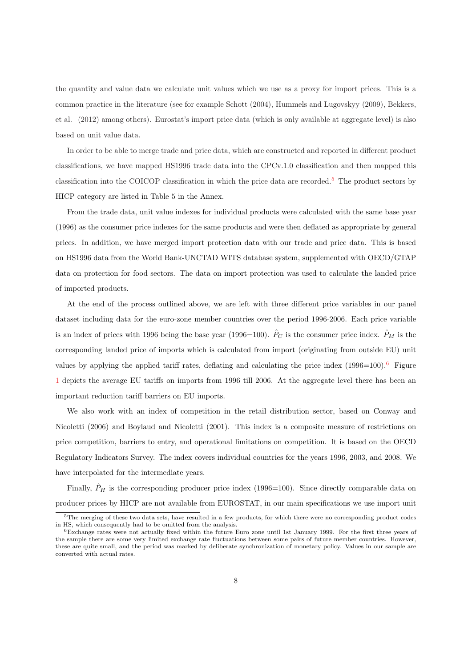the quantity and value data we calculate unit values which we use as a proxy for import prices. This is a common practice in the literature (see for example Schott (2004), Hummels and Lugovskyy (2009), Bekkers, et al. (2012) among others). Eurostat's import price data (which is only available at aggregate level) is also based on unit value data.

In order to be able to merge trade and price data, which are constructed and reported in different product classifications, we have mapped HS1996 trade data into the CPCv.1.0 classification and then mapped this classification into the COICOP classification in which the price data are recorded.<sup>5</sup> The product sectors by HICP category are listed in Table 5 in the Annex.

From the trade data, unit value indexes for individual products were calculated with the same base year (1996) as the consumer price indexes for the same products and were then deflated as appropriate by general prices. In addition, we have merged import protection data with our trade and price data. This is based on HS1996 data from the World Bank-UNCTAD WITS database system, supplemented with OECD/GTAP data on protection for food sectors. The data on import protection was used to calculate the landed price of imported products.

At the end of the process outlined above, we are left with three different price variables in our panel dataset including data for the euro-zone member countries over the period 1996-2006. Each price variable is an index of prices with 1996 being the base year (1996=100).  $\hat{P}_C$  is the consumer price index.  $\hat{P}_M$  is the corresponding landed price of imports which is calculated from import (originating from outside EU) unit values by applying the applied tariff rates, deflating and calculating the price index  $(1996=100).^6$  Figure 1 depicts the average EU tariffs on imports from 1996 till 2006. At the aggregate level there has been an important reduction tariff barriers on EU imports.

We also work with an index of competition in the retail distribution sector, based on Conway and Nicoletti (2006) and Boylaud and Nicoletti (2001). This index is a composite measure of restrictions on price competition, barriers to entry, and operational limitations on competition. It is based on the OECD Regulatory Indicators Survey. The index covers individual countries for the years 1996, 2003, and 2008. We have interpolated for the intermediate years.

Finally,  $\hat{P}_H$  is the corresponding producer price index (1996=100). Since directly comparable data on producer prices by HICP are not available from EUROSTAT, in our main specifications we use import unit

<sup>5</sup>The merging of these two data sets, have resulted in a few products, for which there were no corresponding product codes in HS, which consequently had to be omitted from the analysis.

 $6$ Exchange rates were not actually fixed within the future Euro zone until 1st January 1999. For the first three years of the sample there are some very limited exchange rate fluctuations between some pairs of future member countries. However, these are quite small, and the period was marked by deliberate synchronization of monetary policy. Values in our sample are converted with actual rates.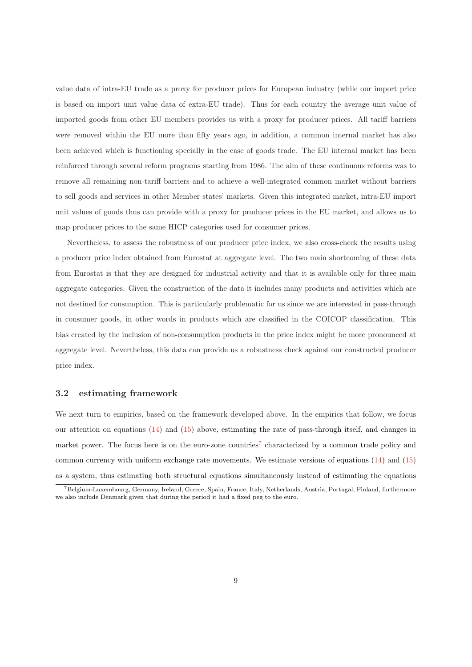value data of intra-EU trade as a proxy for producer prices for European industry (while our import price is based on import unit value data of extra-EU trade). Thus for each country the average unit value of imported goods from other EU members provides us with a proxy for producer prices. All tariff barriers were removed within the EU more than fifty years ago, in addition, a common internal market has also been achieved which is functioning specially in the case of goods trade. The EU internal market has been reinforced through several reform programs starting from 1986. The aim of these continuous reforms was to remove all remaining non-tariff barriers and to achieve a well-integrated common market without barriers to sell goods and services in other Member states' markets. Given this integrated market, intra-EU import unit values of goods thus can provide with a proxy for producer prices in the EU market, and allows us to map producer prices to the same HICP categories used for consumer prices.

Nevertheless, to assess the robustness of our producer price index, we also cross-check the results using a producer price index obtained from Eurostat at aggregate level. The two main shortcoming of these data from Eurostat is that they are designed for industrial activity and that it is available only for three main aggregate categories. Given the construction of the data it includes many products and activities which are not destined for consumption. This is particularly problematic for us since we are interested in pass-through in consumer goods, in other words in products which are classified in the COICOP classification. This bias created by the inclusion of non-consumption products in the price index might be more pronounced at aggregate level. Nevertheless, this data can provide us a robustness check against our constructed producer price index.

#### **3.2 estimating framework**

We next turn to empirics, based on the framework developed above. In the empirics that follow, we focus our attention on equations  $(14)$  and  $(15)$  above, estimating the rate of pass-through itself, and changes in market power. The focus here is on the euro-zone countries<sup>7</sup> characterized by a common trade policy and common currency with uniform exchange rate movements. We estimate versions of equations (14) and (15) as a system, thus estimating both structural equations simultaneously instead of estimating the equations

<sup>7</sup>Belgium-Luxembourg, Germany, Ireland, Greece, Spain, France, Italy, Netherlands, Austria, Portugal, Finland, furthermore we also include Denmark given that during the period it had a fixed peg to the euro.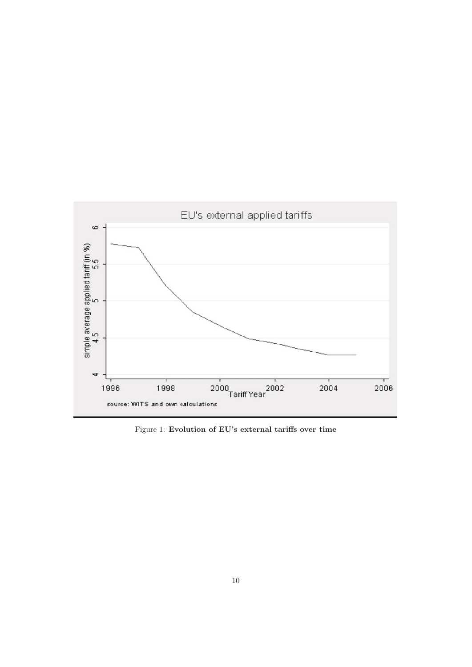

Figure 1: **Evolution of EU's external tariffs over time**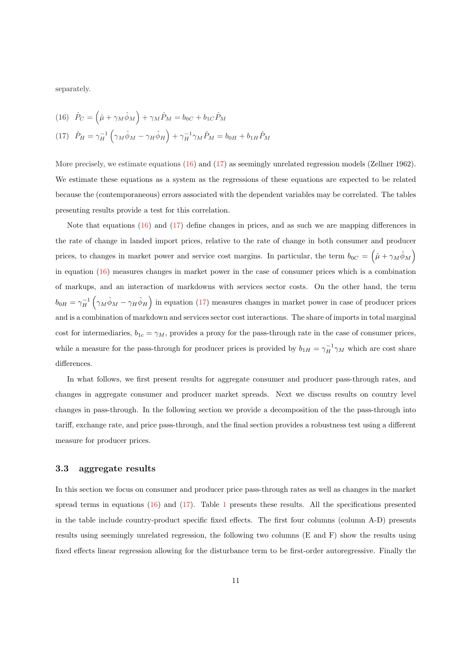separately.

(16) 
$$
\hat{P}_C = (\hat{\mu} + \gamma_M \hat{\phi}_M) + \gamma_M \hat{P}_M = b_{0C} + b_{1C} \hat{P}_M
$$

(17) 
$$
\hat{P}_H = \gamma_H^{-1} \left( \gamma_M \hat{\phi}_M - \gamma_H \hat{\phi}_H \right) + \gamma_H^{-1} \gamma_M \hat{P}_M = b_{0H} + b_{1H} \hat{P}_M
$$

More precisely, we estimate equations (16) and (17) as seemingly unrelated regression models (Zellner 1962). We estimate these equations as a system as the regressions of these equations are expected to be related because the (contemporaneous) errors associated with the dependent variables may be correlated. The tables presenting results provide a test for this correlation.

Note that equations (16) and (17) define changes in prices, and as such we are mapping differences in the rate of change in landed import prices, relative to the rate of change in both consumer and producer prices, to changes in market power and service cost margins. In particular, the term  $b_{0C} = (\hat{\mu} + \gamma_M \hat{\phi}_M)$ in equation (16) measures changes in market power in the case of consumer prices which is a combination of markups, and an interaction of markdowns with services sector costs. On the other hand, the term  $b_{0H} = \gamma_H^{-1} \left( \gamma_M \hat{\phi}_M - \gamma_H \hat{\phi}_H \right)$  in equation (17) measures changes in market power in case of producer prices and is a combination of markdown and services sector cost interactions. The share of imports in total marginal cost for intermediaries,  $b_{1c} = \gamma_M$ , provides a proxy for the pass-through rate in the case of consumer prices, while a measure for the pass-through for producer prices is provided by  $b_{1H} = \gamma_H^{-1} \gamma_M$  which are cost share differences.

In what follows, we first present results for aggregate consumer and producer pass-through rates, and changes in aggregate consumer and producer market spreads. Next we discuss results on country level changes in pass-through. In the following section we provide a decomposition of the the pass-through into tariff, exchange rate, and price pass-through, and the final section provides a robustness test using a different measure for producer prices.

#### **3.3 aggregate results**

In this section we focus on consumer and producer price pass-through rates as well as changes in the market spread terms in equations (16) and (17). Table 1 presents these results. All the specifications presented in the table include country-product specific fixed effects. The first four columns (column A-D) presents results using seemingly unrelated regression, the following two columns (E and F) show the results using fixed effects linear regression allowing for the disturbance term to be first-order autoregressive. Finally the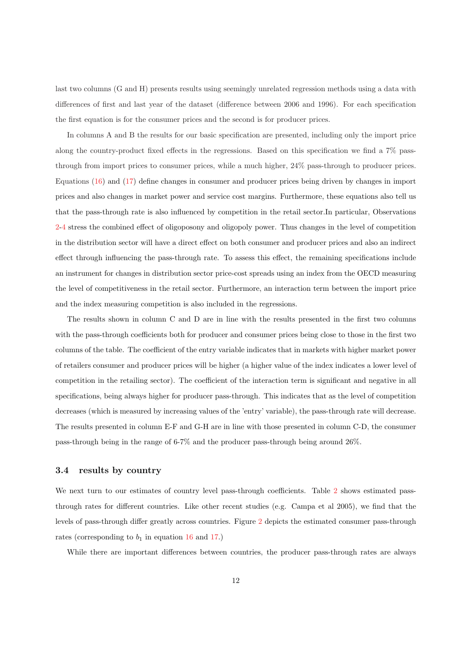last two columns (G and H) presents results using seemingly unrelated regression methods using a data with differences of first and last year of the dataset (difference between 2006 and 1996). For each specification the first equation is for the consumer prices and the second is for producer prices.

In columns A and B the results for our basic specification are presented, including only the import price along the country-product fixed effects in the regressions. Based on this specification we find a 7% passthrough from import prices to consumer prices, while a much higher, 24% pass-through to producer prices. Equations (16) and (17) define changes in consumer and producer prices being driven by changes in import prices and also changes in market power and service cost margins. Furthermore, these equations also tell us that the pass-through rate is also influenced by competition in the retail sector.In particular, Observations 2-4 stress the combined effect of oligoposony and oligopoly power. Thus changes in the level of competition in the distribution sector will have a direct effect on both consumer and producer prices and also an indirect effect through influencing the pass-through rate. To assess this effect, the remaining specifications include an instrument for changes in distribution sector price-cost spreads using an index from the OECD measuring the level of competitiveness in the retail sector. Furthermore, an interaction term between the import price and the index measuring competition is also included in the regressions.

The results shown in column C and D are in line with the results presented in the first two columns with the pass-through coefficients both for producer and consumer prices being close to those in the first two columns of the table. The coefficient of the entry variable indicates that in markets with higher market power of retailers consumer and producer prices will be higher (a higher value of the index indicates a lower level of competition in the retailing sector). The coefficient of the interaction term is significant and negative in all specifications, being always higher for producer pass-through. This indicates that as the level of competition decreases (which is measured by increasing values of the 'entry' variable), the pass-through rate will decrease. The results presented in column E-F and G-H are in line with those presented in column C-D, the consumer pass-through being in the range of 6-7% and the producer pass-through being around 26%.

#### **3.4 results by country**

We next turn to our estimates of country level pass-through coefficients. Table 2 shows estimated passthrough rates for different countries. Like other recent studies (e.g. Campa et al 2005), we find that the levels of pass-through differ greatly across countries. Figure 2 depicts the estimated consumer pass-through rates (corresponding to  $b_1$  in equation 16 and 17.)

While there are important differences between countries, the producer pass-through rates are always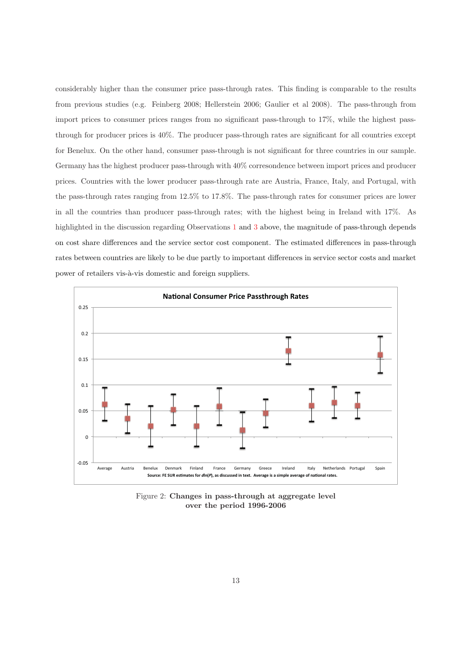considerably higher than the consumer price pass-through rates. This finding is comparable to the results from previous studies (e.g. Feinberg 2008; Hellerstein 2006; Gaulier et al 2008). The pass-through from import prices to consumer prices ranges from no significant pass-through to 17%, while the highest passthrough for producer prices is 40%. The producer pass-through rates are significant for all countries except for Benelux. On the other hand, consumer pass-through is not significant for three countries in our sample. Germany has the highest producer pass-through with 40% corresondence between import prices and producer prices. Countries with the lower producer pass-through rate are Austria, France, Italy, and Portugal, with the pass-through rates ranging from 12.5% to 17.8%. The pass-through rates for consumer prices are lower in all the countries than producer pass-through rates; with the highest being in Ireland with 17%. As highlighted in the discussion regarding Observations 1 and 3 above, the magnitude of pass-through depends on cost share differences and the service sector cost component. The estimated differences in pass-through rates between countries are likely to be due partly to important differences in service sector costs and market power of retailers vis-à-vis domestic and foreign suppliers.



Figure 2: **Changes in pass-through at aggregate level over the period 1996-2006**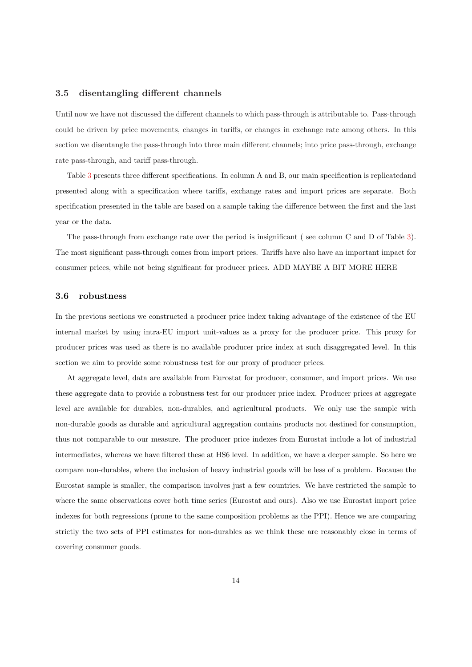#### **3.5 disentangling different channels**

Until now we have not discussed the different channels to which pass-through is attributable to. Pass-through could be driven by price movements, changes in tariffs, or changes in exchange rate among others. In this section we disentangle the pass-through into three main different channels; into price pass-through, exchange rate pass-through, and tariff pass-through.

Table 3 presents three different specifications. In column A and B, our main specification is replicatedand presented along with a specification where tariffs, exchange rates and import prices are separate. Both specification presented in the table are based on a sample taking the difference between the first and the last year or the data.

The pass-through from exchange rate over the period is insignificant ( see column C and D of Table 3). The most significant pass-through comes from import prices. Tariffs have also have an important impact for consumer prices, while not being significant for producer prices. ADD MAYBE A BIT MORE HERE

#### **3.6 robustness**

In the previous sections we constructed a producer price index taking advantage of the existence of the EU internal market by using intra-EU import unit-values as a proxy for the producer price. This proxy for producer prices was used as there is no available producer price index at such disaggregated level. In this section we aim to provide some robustness test for our proxy of producer prices.

At aggregate level, data are available from Eurostat for producer, consumer, and import prices. We use these aggregate data to provide a robustness test for our producer price index. Producer prices at aggregate level are available for durables, non-durables, and agricultural products. We only use the sample with non-durable goods as durable and agricultural aggregation contains products not destined for consumption, thus not comparable to our measure. The producer price indexes from Eurostat include a lot of industrial intermediates, whereas we have filtered these at HS6 level. In addition, we have a deeper sample. So here we compare non-durables, where the inclusion of heavy industrial goods will be less of a problem. Because the Eurostat sample is smaller, the comparison involves just a few countries. We have restricted the sample to where the same observations cover both time series (Eurostat and ours). Also we use Eurostat import price indexes for both regressions (prone to the same composition problems as the PPI). Hence we are comparing strictly the two sets of PPI estimates for non-durables as we think these are reasonably close in terms of covering consumer goods.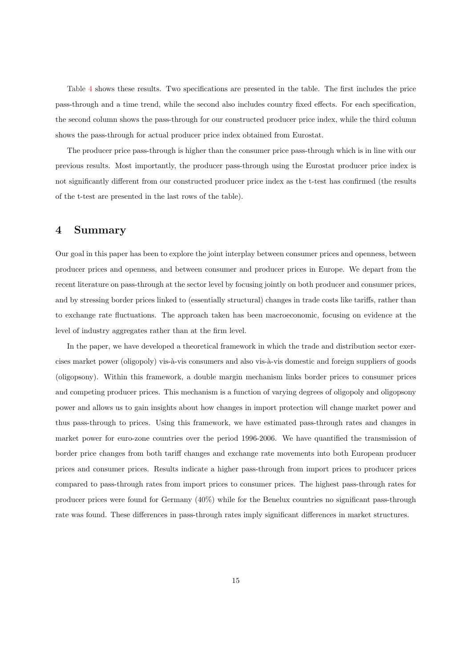Table 4 shows these results. Two specifications are presented in the table. The first includes the price pass-through and a time trend, while the second also includes country fixed effects. For each specification, the second column shows the pass-through for our constructed producer price index, while the third column shows the pass-through for actual producer price index obtained from Eurostat.

The producer price pass-through is higher than the consumer price pass-through which is in line with our previous results. Most importantly, the producer pass-through using the Eurostat producer price index is not significantly different from our constructed producer price index as the t-test has confirmed (the results of the t-test are presented in the last rows of the table).

## **4 Summary**

Our goal in this paper has been to explore the joint interplay between consumer prices and openness, between producer prices and openness, and between consumer and producer prices in Europe. We depart from the recent literature on pass-through at the sector level by focusing jointly on both producer and consumer prices, and by stressing border prices linked to (essentially structural) changes in trade costs like tariffs, rather than to exchange rate fluctuations. The approach taken has been macroeconomic, focusing on evidence at the level of industry aggregates rather than at the firm level.

In the paper, we have developed a theoretical framework in which the trade and distribution sector exercises market power (oligopoly) vis-à-vis consumers and also vis-à-vis domestic and foreign suppliers of goods (oligopsony). Within this framework, a double margin mechanism links border prices to consumer prices and competing producer prices. This mechanism is a function of varying degrees of oligopoly and oligopsony power and allows us to gain insights about how changes in import protection will change market power and thus pass-through to prices. Using this framework, we have estimated pass-through rates and changes in market power for euro-zone countries over the period 1996-2006. We have quantified the transmission of border price changes from both tariff changes and exchange rate movements into both European producer prices and consumer prices. Results indicate a higher pass-through from import prices to producer prices compared to pass-through rates from import prices to consumer prices. The highest pass-through rates for producer prices were found for Germany (40%) while for the Benelux countries no significant pass-through rate was found. These differences in pass-through rates imply significant differences in market structures.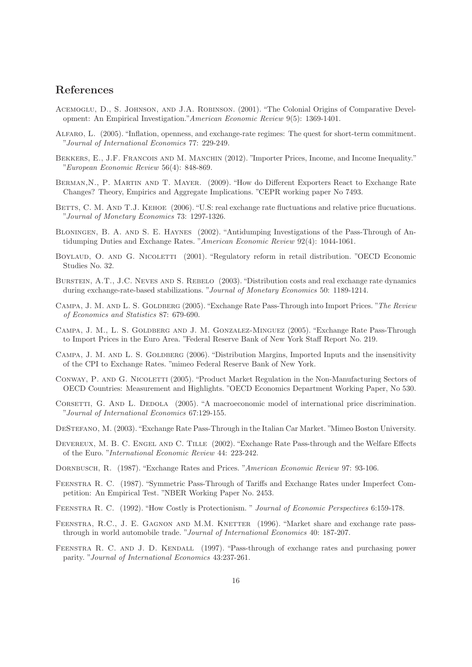# **References**

- Acemoglu, D., S. Johnson, and J.A. Robinson. (2001). "The Colonial Origins of Comparative Development: An Empirical Investigation."American Economic Review 9(5): 1369-1401.
- Alfaro, L. (2005). "Inflation, openness, and exchange-rate regimes: The quest for short-term commitment. "Journal of International Economics 77: 229-249.
- BEKKERS, E., J.F. FRANCOIS AND M. MANCHIN (2012). "Importer Prices, Income, and Income Inequality." "European Economic Review 56(4): 848-869.
- BERMAN, N., P. MARTIN AND T. MAYER. (2009). "How do Different Exporters React to Exchange Rate Changes? Theory, Empirics and Aggregate Implications. "CEPR working paper No 7493.
- BETTS, C. M. AND T.J. KEHOE (2006). "U.S: real exchange rate fluctuations and relative price flucuations. "Journal of Monetary Economics 73: 1297-1326.
- Bloningen, B. A. and S. E. Haynes (2002). "Antidumping Investigations of the Pass-Through of Antidumping Duties and Exchange Rates. "American Economic Review 92(4): 1044-1061.
- BOYLAUD, O. AND G. NICOLETTI (2001). "Regulatory reform in retail distribution. "OECD Economic Studies No. 32.
- BURSTEIN, A.T., J.C. NEVES AND S. REBELO (2003). "Distribution costs and real exchange rate dynamics during exchange-rate-based stabilizations. "Journal of Monetary Economics 50: 1189-1214.
- CAMPA, J. M. AND L. S. GOLDBERG (2005). "Exchange Rate Pass-Through into Import Prices. "The Review of Economics and Statistics 87: 679-690.
- Campa, J. M., L. S. Goldberg and J. M. Gonzalez-Minguez (2005). "Exchange Rate Pass-Through to Import Prices in the Euro Area. "Federal Reserve Bank of New York Staff Report No. 219.
- CAMPA, J. M. AND L. S. GOLDBERG (2006). "Distribution Margins, Imported Inputs and the insensitivity of the CPI to Exchange Rates. "mimeo Federal Reserve Bank of New York.
- CONWAY, P. AND G. NICOLETTI (2005). "Product Market Regulation in the Non-Manufacturing Sectors of OECD Countries: Measurement and Highlights. "OECD Economics Department Working Paper, No 530.
- CORSETTI, G. AND L. DEDOLA (2005). "A macroeconomic model of international price discrimination. "Journal of International Economics 67:129-155.
- DeStefano, M. (2003). "Exchange Rate Pass-Through in the Italian Car Market. "Mimeo Boston University.
- DEVEREUX, M. B. C. ENGEL AND C. TILLE (2002). "Exchange Rate Pass-through and the Welfare Effects of the Euro. "International Economic Review 44: 223-242.
- DORNBUSCH, R. (1987). "Exchange Rates and Prices. "American Economic Review 97: 93-106.
- Feenstra R. C. (1987). "Symmetric Pass-Through of Tariffs and Exchange Rates under Imperfect Competition: An Empirical Test. "NBER Working Paper No. 2453.
- Feenstra R. C. (1992). "How Costly is Protectionism. " Journal of Economic Perspectives 6:159-178.
- FEENSTRA, R.C., J. E. GAGNON AND M.M. KNETTER (1996). "Market share and exchange rate passthrough in world automobile trade. "Journal of International Economics 40: 187-207.
- FEENSTRA R. C. AND J. D. KENDALL (1997). "Pass-through of exchange rates and purchasing power parity. "Journal of International Economics 43:237-261.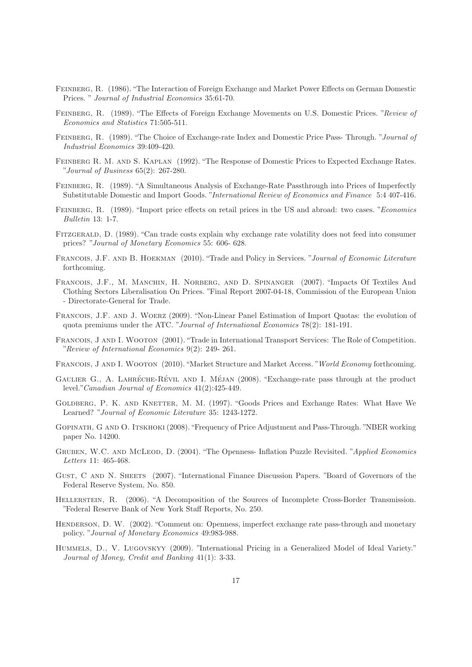- Feinberg, R. (1986). "The Interaction of Foreign Exchange and Market Power Effects on German Domestic Prices. " Journal of Industrial Economics 35:61-70.
- Feinberg, R. (1989). "The Effects of Foreign Exchange Movements on U.S. Domestic Prices. "Review of Economics and Statistics 71:505-511.
- Feinberg, R. (1989). "The Choice of Exchange-rate Index and Domestic Price Pass- Through. "Journal of Industrial Economics 39:409-420.
- Feinberg R. M. and S. Kaplan (1992). "The Response of Domestic Prices to Expected Exchange Rates. "Journal of Business 65(2): 267-280.
- Feinberg, R. (1989). "A Simultaneous Analysis of Exchange-Rate Passthrough into Prices of Imperfectly Substitutable Domestic and Import Goods. "International Review of Economics and Finance 5:4 407-416.
- Feinberg, R. (1989). "Import price effects on retail prices in the US and abroad: two cases. "Economics Bulletin 13: 1-7.
- Fitzgerald, D. (1989). "Can trade costs explain why exchange rate volatility does not feed into consumer prices? "Journal of Monetary Economics 55: 606- 628.
- Francois, J.F. and B. Hoekman (2010). "Trade and Policy in Services. "Journal of Economic Literature forthcoming.
- Francois, J.F., M. Manchin, H. Norberg, and D. Spinanger (2007). "Impacts Of Textiles And Clothing Sectors Liberalisation On Prices. "Final Report 2007-04-18, Commission of the European Union - Directorate-General for Trade.
- Francois, J.F. and J. Woerz (2009). "Non-Linear Panel Estimation of Import Quotas: the evolution of quota premiums under the ATC. "Journal of International Economics 78(2): 181-191.
- Francois, J and I. Wooton (2001). "Trade in International Transport Services: The Role of Competition. "Review of International Economics 9(2): 249- 261.
- Francois, J and I. Wooton (2010). "Market Structure and Market Access. "World Economy forthcoming.
- GAULIER G., A. LAHRÉCHE-RÉVIL AND I. MÉJAN (2008). "Exchange-rate pass through at the product level."Canadian Journal of Economics 41(2):425-449.
- GOLDBERG, P. K. AND KNETTER, M. M. (1997). "Goods Prices and Exchange Rates: What Have We Learned? "Journal of Economic Literature 35: 1243-1272.
- Gopinath, G and O. Itskhoki (2008). "Frequency of Price Adjustment and Pass-Through. "NBER working paper No. 14200.
- GRUBEN, W.C. AND MCLEOD, D. (2004). "The Openness- Inflation Puzzle Revisited. "Applied Economics Letters 11: 465-468.
- Gust, C and N. Sheets (2007). "International Finance Discussion Papers. "Board of Governors of the Federal Reserve System, No. 850.
- Hellerstein, R. (2006). "A Decomposition of the Sources of Incomplete Cross-Border Transmission. "Federal Reserve Bank of New York Staff Reports, No. 250.
- HENDERSON, D. W. (2002). "Comment on: Openness, imperfect exchange rate pass-through and monetary policy. "Journal of Monetary Economics 49:983-988.
- Hummels, D., V. Lugovskyy (2009). "International Pricing in a Generalized Model of Ideal Variety." Journal of Money, Credit and Banking 41(1): 3-33.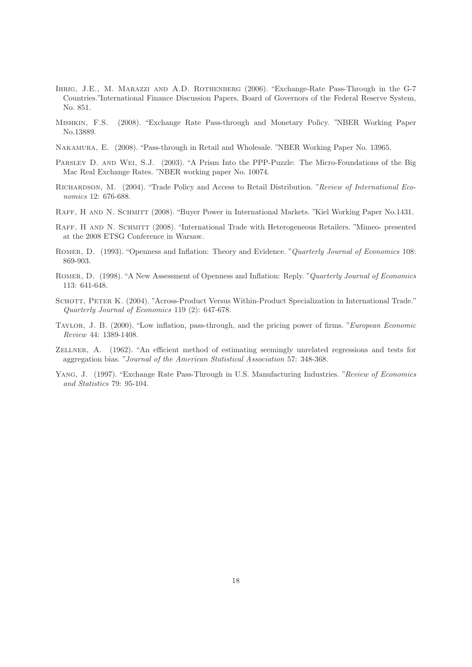- Ihrig, J.E., M. Marazzi and A.D. Rothenberg (2006). "Exchange-Rate Pass-Through in the G-7 Countries."International Finance Discussion Papers, Board of Governors of the Federal Reserve System, No. 851.
- Mishkin, F.S. (2008). "Exchange Rate Pass-through and Monetary Policy. "NBER Working Paper No.13889.
- Nakamura, E. (2008). "Pass-through in Retail and Wholesale. "NBER Working Paper No. 13965.
- PARSLEY D. AND WEI, S.J. (2003). "A Prism Into the PPP-Puzzle: The Micro-Foundations of the Big Mac Real Exchange Rates. "NBER working paper No. 10074.
- Richardson, M. (2004). "Trade Policy and Access to Retail Distribution. "Review of International Economics 12: 676-688.
- RAFF, H AND N. SCHMITT (2008). "Buyer Power in International Markets. "Kiel Working Paper No.1431.
- RAFF, H AND N. SCHMITT (2008). "International Trade with Heterogeneous Retailers. "Mimeo- presented at the 2008 ETSG Conference in Warsaw.
- ROMER, D. (1993). "Openness and Inflation: Theory and Evidence. "Quarterly Journal of Economics 108: 869-903.
- Romer, D. (1998). "A New Assessment of Openness and Inflation: Reply. "Quarterly Journal of Economics 113: 641-648.
- SCHOTT, PETER K. (2004). "Across-Product Versus Within-Product Specialization in International Trade." Quarterly Journal of Economics 119 (2): 647-678.
- Taylor, J. B. (2000). "Low inflation, pass-through, and the pricing power of firms. "European Economic Review 44: 1389-1408.
- Zellner, A. (1962). "An efficient method of estimating seemingly unrelated regressions and tests for aggregation bias. "Journal of the American Statistical Association 57: 348-368.
- YANG, J. (1997). "Exchange Rate Pass-Through in U.S. Manufacturing Industries. "Review of Economics" and Statistics 79: 95-104.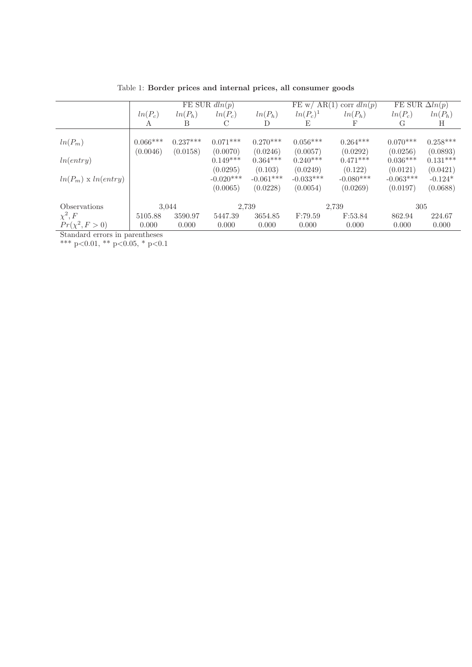|                                   | FE SUR $dln(p)$ |            |             | FE w/ AR(1)<br>corr $dln(p)$ |             | FE SUR $\Delta ln(p)$ |             |            |
|-----------------------------------|-----------------|------------|-------------|------------------------------|-------------|-----------------------|-------------|------------|
|                                   | $ln(P_c)$       | $ln(P_h)$  | $ln(P_c)$   | $ln(P_h)$                    | $ln(P_c)^1$ | $ln(P_h)$             | $ln(P_c)$   | $ln(P_h)$  |
|                                   | A               | B          |             | D                            | E           | F                     | G           | Η          |
|                                   |                 |            |             |                              |             |                       |             |            |
| $ln(P_m)$                         | $0.066***$      | $0.237***$ | $0.071***$  | $0.270***$                   | $0.056***$  | $0.264***$            | $0.070***$  | $0.258***$ |
|                                   | (0.0046)        | (0.0158)   | (0.0070)    | (0.0246)                     | (0.0057)    | (0.0292)              | (0.0256)    | (0.0893)   |
| ln(entry)                         |                 |            | $0.149***$  | $0.364***$                   | $0.240***$  | $0.471***$            | $0.036***$  | $0.131***$ |
|                                   |                 |            | (0.0295)    | (0.103)                      | (0.0249)    | (0.122)               | (0.0121)    | (0.0421)   |
| $ln(P_m) \ge ln(entry)$           |                 |            | $-0.020***$ | $-0.061***$                  | $-0.033***$ | $-0.080***$           | $-0.063***$ | $-0.124*$  |
|                                   |                 |            | (0.0065)    | (0.0228)                     | (0.0054)    | (0.0269)              | (0.0197)    | (0.0688)   |
|                                   |                 |            |             |                              |             |                       |             |            |
| Observations                      | 3,044           |            | 2,739       |                              | 2,739       |                       | 305         |            |
| $\chi^2, F$                       | 5105.88         | 3590.97    | 5447.39     | 3654.85                      | F:79.59     | F:53.84               | 862.94      | 224.67     |
| $Pr(\chi^2, F > 0)$               | 0.000           | 0.000      | 0.000       | 0.000                        | 0.000       | 0.000                 | 0.000       | 0.000      |
| Standard organization organizacce |                 |            |             |                              |             |                       |             |            |

Table 1: **Border prices and internal prices, all consumer goods**

Standard errors in parentheses

\*\*\* p<0.01, \*\* p<0.05, \* p<0.1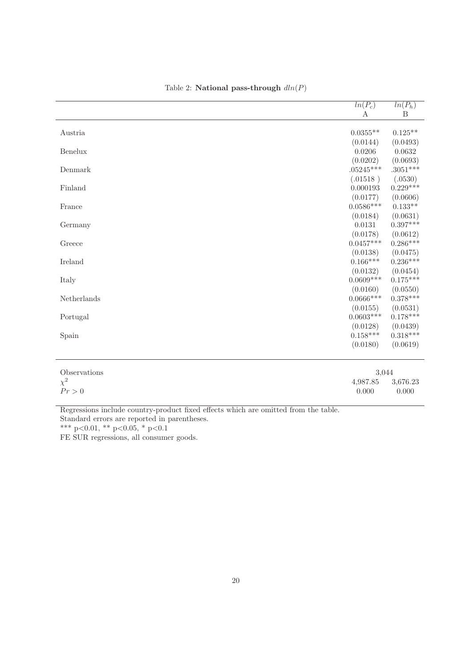|             | $ln(P_c)$   | $ln(P_h)$  |
|-------------|-------------|------------|
|             | A           | B          |
|             |             |            |
| Austria     | $0.0355**$  | $0.125**$  |
|             | (0.0144)    | (0.0493)   |
| Benelux     | 0.0206      | 0.0632     |
|             | (0.0202)    | (0.0693)   |
| Denmark     | $.05245***$ | $.3051***$ |
|             | (.01518)    | (.0530)    |
| Finland     | 0.000193    | $0.229***$ |
|             | (0.0177)    | (0.0606)   |
| France      | $0.0586***$ | $0.133**$  |
|             | (0.0184)    | (0.0631)   |
| Germany     | 0.0131      | $0.397***$ |
|             | (0.0178)    | (0.0612)   |
| Greece      | $0.0457***$ | $0.286***$ |
|             | (0.0138)    | (0.0475)   |
| Ireland     | $0.166***$  | $0.236***$ |
|             | (0.0132)    | (0.0454)   |
| Italy       | $0.0609***$ | $0.175***$ |
|             | (0.0160)    | (0.0550)   |
| Netherlands | $0.0666***$ | $0.378***$ |
|             | (0.0155)    | (0.0531)   |
| Portugal    | $0.0603***$ | $0.178***$ |
|             | (0.0128)    | (0.0439)   |
| Spain       | $0.158***$  | $0.318***$ |
|             | (0.0180)    | (0.0619)   |

## Table 2: **National pass-through**  $dln(P)$

| Observations | 3.044 |                   |  |
|--------------|-------|-------------------|--|
| $\chi^2$     |       | 4,987.85 3,676.23 |  |
| Pr > 0       | 0.000 | 0.000             |  |

Regressions include country-product fixed effects which are omitted from the table.

Standard errors are reported in parentheses.

\*\*\* p<0.01, \*\* p<0.05, \* p<0.1

FE SUR regressions, all consumer goods.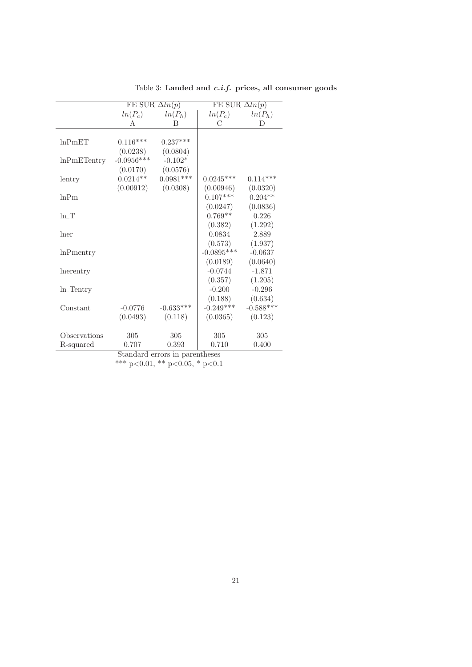|                  | FE SUR $\Delta ln(p)$ |             | FE SUR $\Delta ln(p)$ |             |  |
|------------------|-----------------------|-------------|-----------------------|-------------|--|
|                  | $ln(P_c)$             | $ln(P_h)$   | $ln(P_c)$             | $ln(P_h)$   |  |
|                  | A                     | B           | С                     | D           |  |
|                  |                       |             |                       |             |  |
| ln PmET          | $0.116***$            | $0.237***$  |                       |             |  |
|                  | (0.0238)              | (0.0804)    |                       |             |  |
| lnPmETentry      | $-0.0956***$          | $-0.102*$   |                       |             |  |
|                  | (0.0170)              | (0.0576)    |                       |             |  |
| lentry           | $0.0214**$            | $0.0981***$ | $0.0245***$           | $0.114***$  |  |
|                  | (0.00912)             | (0.0308)    | (0.00946)             | (0.0320)    |  |
| lnPm             |                       |             | $0.107***$            | $0.204**$   |  |
|                  |                       |             | (0.0247)              | (0.0836)    |  |
| $ln_T$           |                       |             | $0.769**$             | 0.226       |  |
|                  |                       |             | (0.382)               | (1.292)     |  |
| lner             |                       |             | 0.0834                | 2.889       |  |
|                  |                       |             | (0.573)               | (1.937)     |  |
| <b>lnPmentry</b> |                       |             | $-0.0895***$          | $-0.0637$   |  |
|                  |                       |             | (0.0189)              | (0.0640)    |  |
| lnerentry        |                       |             | $-0.0744$             | $-1.871$    |  |
|                  |                       |             | (0.357)               | (1.205)     |  |
| $ln$ _Tentry     |                       |             | $-0.200$              | $-0.296$    |  |
|                  |                       |             | (0.188)               | (0.634)     |  |
| Constant         | $-0.0776$             | $-0.633***$ | $-0.249***$           | $-0.588***$ |  |
|                  | (0.0493)              | (0.118)     | (0.0365)              | (0.123)     |  |
|                  |                       |             |                       |             |  |
| Observations     | 305                   | 305         | 305                   | 305         |  |
| R-squared        | 0.707                 | 0.393       | 0.710                 | 0.400       |  |

Table 3: **Landed and** *c.i.f.* **prices, all consumer goods**

Standard errors in parentheses

<sup>\*\*\*</sup> p<0.01, \*\* p<0.05, \* p<0.1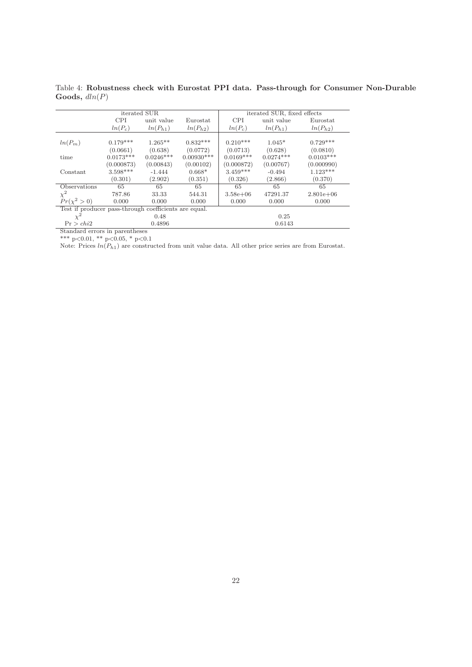|                                                       | iterated SUR |              |              |              | iterated SUR, fixed effects |              |  |
|-------------------------------------------------------|--------------|--------------|--------------|--------------|-----------------------------|--------------|--|
|                                                       | <b>CPI</b>   | unit value   | Eurostat     | <b>CPI</b>   | unit value                  | Eurostat     |  |
|                                                       | $ln(P_c)$    | $ln(P_{h1})$ | $ln(P_{h2})$ | $ln(P_c)$    | $ln(P_{h1})$                | $ln(P_{h2})$ |  |
| $ln(P_m)$                                             | $0.179***$   | $1.265***$   | $0.832***$   | $0.210***$   | $1.045*$                    | $0.729***$   |  |
|                                                       | (0.0661)     | (0.638)      | (0.0772)     | (0.0713)     | (0.628)                     | (0.0810)     |  |
| time                                                  | $0.0173***$  | $0.0246***$  | $0.00930***$ | $0.0169***$  | $0.0274***$                 | $0.0103***$  |  |
|                                                       | (0.000873)   | (0.00843)    | (0.00102)    | (0.000872)   | (0.00767)                   | (0.000990)   |  |
| Constant                                              | $3.598***$   | $-1.444$     | $0.668*$     | $3.459***$   | $-0.494$                    | $1.123***$   |  |
|                                                       | (0.301)      | (2.902)      | (0.351)      | (0.326)      | (2.866)                     | (0.370)      |  |
| Observations                                          | 65           | 65           | 65           | 65           | 65                          | 65           |  |
| $\chi^2$                                              | 787.86       | 33.33        | 544.31       | $3.58e + 06$ | 47291.37                    | $2.801e+06$  |  |
| $Pr(\chi^2 > 0)$                                      | 0.000        | 0.000        | 0.000        | 0.000        | 0.000                       | 0.000        |  |
| Test if producer pass-through coefficients are equal. |              |              |              |              |                             |              |  |
| $\chi^2$                                              | 0.48         |              |              |              | 0.25                        |              |  |
| Pr > chi2                                             | 0.4896       |              |              | 0.6143       |                             |              |  |
| Standard errors in parentheses                        |              |              |              |              |                             |              |  |

Table 4: **Robustness check with Eurostat PPI data. Pass-through for Consumer Non-Durable Goods,** dln(P)

\*\*\* p*<*0.01, \*\* p*<*0.05, \* p*<*0.1

Note: Prices  $ln(P_{h1})$  are constructed from unit value data. All other price series are from Eurostat.